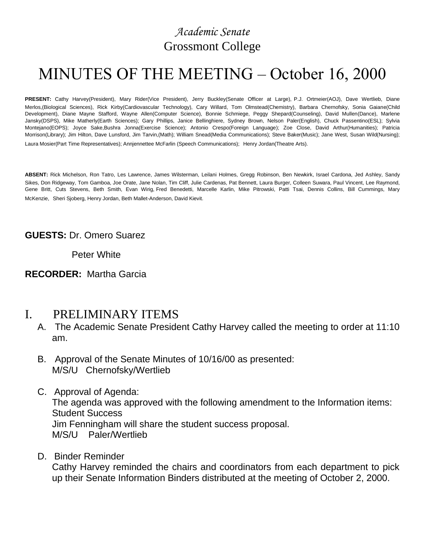# *Academic Senate* Grossmont College

# MINUTES OF THE MEETING – October 16, 2000

**PRESENT:** Cathy Harvey(President), Mary Rider(Vice President), Jerry Buckley(Senate Officer at Large), P.J. Ortmeier(AOJ), Dave Wertlieb, Diane Merlos,(Biological Sciences), Rick Kirby(Cardiovascular Technology), Cary Willard, Tom Olmstead(Chemistry), Barbara Chernofsky, Sonia Gaiane(Child Development), Diane Mayne Stafford, Wayne Allen(Computer Science), Bonnie Schmiege, Peggy Shepard(Counseling), David Mullen(Dance), Marlene Jansky(DSPS), Mike Matherly(Earth Sciences); Gary Phillips, Janice Bellinghiere, Sydney Brown, Nelson Paler(English), Chuck Passentino(ESL); Sylvia Montejano(EOPS); Joyce Sake,Bushra Jonna(Exercise Science); Antonio Crespo(Foreign Language); Zoe Close, David Arthur(Humanities); Patricia Morrison(Library); Jim Hilton, Dave Lunsford, Jim Tarvin,(Math); William Snead(Media Communications); Steve Baker(Music); Jane West, Susan Wild(Nursing); Laura Mosier(Part Time Representatives); Annjennettee McFarlin (Speech Communications); Henry Jordan(Theatre Arts).

**ABSENT:** Rick Michelson, Ron Tatro, Les Lawrence, James Wilsterman, Leilani Holmes, Gregg Robinson, Ben Newkirk, Israel Cardona, Jed Ashley, Sandy Sikes, Don Ridgeway, Tom Gamboa, Joe Orate, Jane Nolan, Tim Cliff, Julie Cardenas, Pat Bennett, Laura Burger, Colleen Suwara, Paul Vincent, Lee Raymond, Gene Britt, Cuts Stevens, Beth Smith, Evan Wirig, Fred Benedetti, Marcelle Karlin, Mike Pitrowski, Patti Tsai, Dennis Collins, Bill Cummings, Mary McKenzie, Sheri Sjoberg, Henry Jordan, Beth Mallet-Anderson, David Kievit.

#### **GUESTS:** Dr. Omero Suarez

Peter White

#### **RECORDER:** Martha Garcia

# I. PRELIMINARY ITEMS

- A. The Academic Senate President Cathy Harvey called the meeting to order at 11:10 am.
- B. Approval of the Senate Minutes of 10/16/00 as presented: M/S/U Chernofsky/Wertlieb
- C. Approval of Agenda:

The agenda was approved with the following amendment to the Information items: Student Success Jim Fenningham will share the student success proposal.

M/S/U Paler/Wertlieb

#### D. Binder Reminder

Cathy Harvey reminded the chairs and coordinators from each department to pick up their Senate Information Binders distributed at the meeting of October 2, 2000.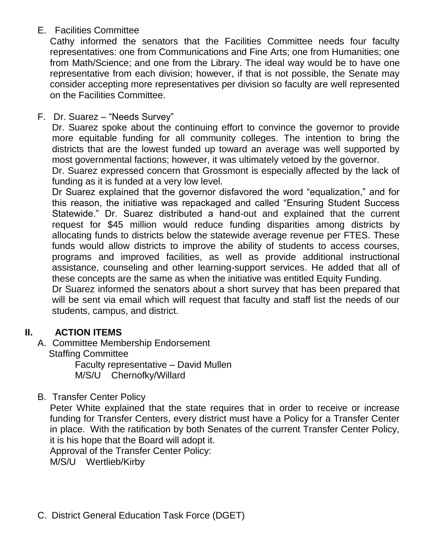# E. Facilities Committee

Cathy informed the senators that the Facilities Committee needs four faculty representatives: one from Communications and Fine Arts; one from Humanities; one from Math/Science; and one from the Library. The ideal way would be to have one representative from each division; however, if that is not possible, the Senate may consider accepting more representatives per division so faculty are well represented on the Facilities Committee.

F. Dr. Suarez – "Needs Survey"

Dr. Suarez spoke about the continuing effort to convince the governor to provide more equitable funding for all community colleges. The intention to bring the districts that are the lowest funded up toward an average was well supported by most governmental factions; however, it was ultimately vetoed by the governor.

Dr. Suarez expressed concern that Grossmont is especially affected by the lack of funding as it is funded at a very low level.

Dr Suarez explained that the governor disfavored the word "equalization," and for this reason, the initiative was repackaged and called "Ensuring Student Success Statewide." Dr. Suarez distributed a hand-out and explained that the current request for \$45 million would reduce funding disparities among districts by allocating funds to districts below the statewide average revenue per FTES. These funds would allow districts to improve the ability of students to access courses, programs and improved facilities, as well as provide additional instructional assistance, counseling and other learning-support services. He added that all of these concepts are the same as when the initiative was entitled Equity Funding.

Dr Suarez informed the senators about a short survey that has been prepared that will be sent via email which will request that faculty and staff list the needs of our students, campus, and district.

# **II. ACTION ITEMS**

- A. Committee Membership Endorsement
	- Staffing Committee

Faculty representative – David Mullen M/S/U Chernofky/Willard

B. Transfer Center Policy

Peter White explained that the state requires that in order to receive or increase funding for Transfer Centers, every district must have a Policy for a Transfer Center in place. With the ratification by both Senates of the current Transfer Center Policy, it is his hope that the Board will adopt it.

Approval of the Transfer Center Policy:

M/S/U Wertlieb/Kirby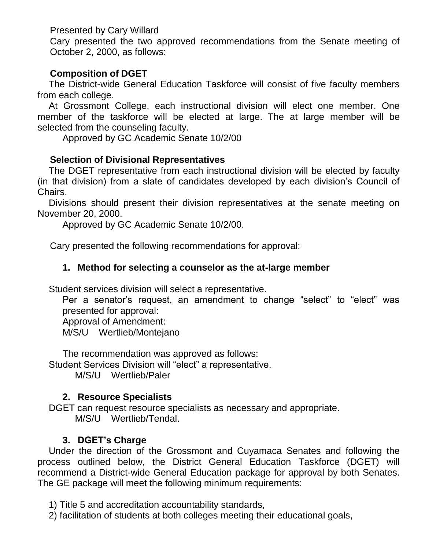Presented by Cary Willard

Cary presented the two approved recommendations from the Senate meeting of October 2, 2000, as follows:

## **Composition of DGET**

The District-wide General Education Taskforce will consist of five faculty members from each college.

At Grossmont College, each instructional division will elect one member. One member of the taskforce will be elected at large. The at large member will be selected from the counseling faculty.

Approved by GC Academic Senate 10/2/00

#### **Selection of Divisional Representatives**

The DGET representative from each instructional division will be elected by faculty (in that division) from a slate of candidates developed by each division's Council of Chairs.

Divisions should present their division representatives at the senate meeting on November 20, 2000.

Approved by GC Academic Senate 10/2/00.

Cary presented the following recommendations for approval:

#### **1. Method for selecting a counselor as the at-large member**

Student services division will select a representative.

Per a senator's request, an amendment to change "select" to "elect" was presented for approval:

Approval of Amendment:

M/S/U Wertlieb/Montejano

The recommendation was approved as follows: Student Services Division will "elect" a representative.

M/S/U Wertlieb/Paler

#### **2. Resource Specialists**

DGET can request resource specialists as necessary and appropriate. M/S/U Wertlieb/Tendal.

#### **3. DGET's Charge**

Under the direction of the Grossmont and Cuyamaca Senates and following the process outlined below, the District General Education Taskforce (DGET) will recommend a District-wide General Education package for approval by both Senates. The GE package will meet the following minimum requirements:

1) Title 5 and accreditation accountability standards,

2) facilitation of students at both colleges meeting their educational goals,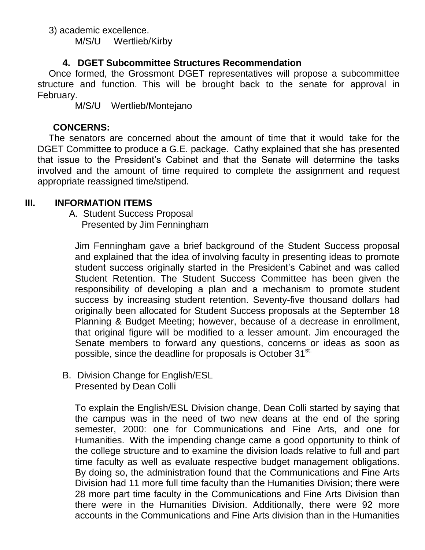3) academic excellence. M/S/U Wertlieb/Kirby

#### **4. DGET Subcommittee Structures Recommendation**

Once formed, the Grossmont DGET representatives will propose a subcommittee structure and function. This will be brought back to the senate for approval in February.

M/S/U Wertlieb/Montejano

# **CONCERNS:**

The senators are concerned about the amount of time that it would take for the DGET Committee to produce a G.E. package. Cathy explained that she has presented that issue to the President's Cabinet and that the Senate will determine the tasks involved and the amount of time required to complete the assignment and request appropriate reassigned time/stipend.

# **III. INFORMATION ITEMS**

 A. Student Success Proposal Presented by Jim Fenningham

Jim Fenningham gave a brief background of the Student Success proposal and explained that the idea of involving faculty in presenting ideas to promote student success originally started in the President's Cabinet and was called Student Retention. The Student Success Committee has been given the responsibility of developing a plan and a mechanism to promote student success by increasing student retention. Seventy-five thousand dollars had originally been allocated for Student Success proposals at the September 18 Planning & Budget Meeting; however, because of a decrease in enrollment, that original figure will be modified to a lesser amount. Jim encouraged the Senate members to forward any questions, concerns or ideas as soon as possible, since the deadline for proposals is October 31<sup>st.</sup>

B. Division Change for English/ESL Presented by Dean Colli

To explain the English/ESL Division change, Dean Colli started by saying that the campus was in the need of two new deans at the end of the spring semester, 2000: one for Communications and Fine Arts, and one for Humanities. With the impending change came a good opportunity to think of the college structure and to examine the division loads relative to full and part time faculty as well as evaluate respective budget management obligations. By doing so, the administration found that the Communications and Fine Arts Division had 11 more full time faculty than the Humanities Division; there were 28 more part time faculty in the Communications and Fine Arts Division than there were in the Humanities Division. Additionally, there were 92 more accounts in the Communications and Fine Arts division than in the Humanities